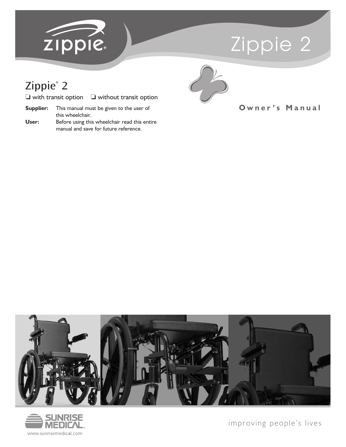

# Zippie 2

# Zippie® 2

| $\Box$ with transit option | $\Box$ without transit option |
|----------------------------|-------------------------------|
|----------------------------|-------------------------------|

- **Supplier:** This manual must be given to the user of this wheelchair.
- **User:** Before using this wheelchair read this entire manual and save for future reference.



### **O w n e r ' s M a n u a l**





improving people's lives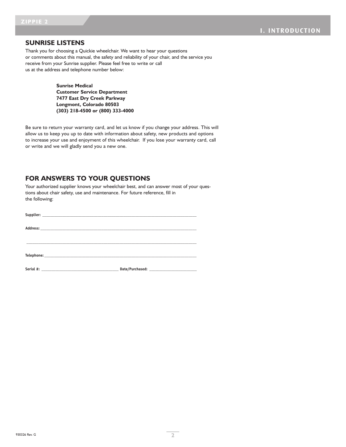#### **SUNRISE LISTENS**

Thank you for choosing a Quickie wheelchair. We want to hear your questions or comments about this manual, the safety and reliability of your chair, and the service you receive from your Sunrise supplier. Please feel free to write or call us at the address and telephone number below:

> **Sunrise Medical Customer Service Department 7477 East Dry Creek Parkway Longmont, Colorado 80503 (303) 218-4500 or (800) 333-4000**

Be sure to return your warranty card, and let us know if you change your address. This will allow us to keep you up to date with information about safety, new products and options to increase your use and enjoyment of this wheelchair. If you lose your warranty card, call or write and we will gladly send you a new one.

#### **FOR ANSWERS TO YOUR QUESTIONS**

Your authorized supplier knows your wheelchair best, and can answer most of your questions about chair safety, use and maintenance. For future reference, fill in the following: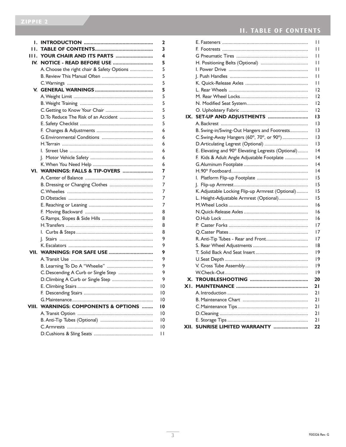| Ι.    |                                            | 2  |  |  |  |  |  |
|-------|--------------------------------------------|----|--|--|--|--|--|
| Τ.    |                                            | 3  |  |  |  |  |  |
| 11 I. | YOUR CHAIR AND ITS PARTS                   | 4  |  |  |  |  |  |
| IV.   | 5                                          |    |  |  |  |  |  |
|       | A. Choose the right chair & Safety Options | 5  |  |  |  |  |  |
|       |                                            |    |  |  |  |  |  |
|       |                                            | 5  |  |  |  |  |  |
|       |                                            | 5  |  |  |  |  |  |
|       |                                            | 5  |  |  |  |  |  |
|       |                                            | 5  |  |  |  |  |  |
|       |                                            |    |  |  |  |  |  |
|       | D. To Reduce The Risk of an Accident       |    |  |  |  |  |  |
|       |                                            | 5  |  |  |  |  |  |
|       |                                            | 6  |  |  |  |  |  |
|       |                                            | 6  |  |  |  |  |  |
|       |                                            | 6  |  |  |  |  |  |
|       |                                            | 6  |  |  |  |  |  |
|       |                                            | 6  |  |  |  |  |  |
|       |                                            | 6  |  |  |  |  |  |
| VI.   | WARNINGS: FALLS & TIP-OVERS                | 7  |  |  |  |  |  |
|       |                                            | 7  |  |  |  |  |  |
|       |                                            | 7  |  |  |  |  |  |
|       |                                            | 7  |  |  |  |  |  |
|       |                                            | 7  |  |  |  |  |  |
|       |                                            |    |  |  |  |  |  |
|       |                                            |    |  |  |  |  |  |
|       |                                            |    |  |  |  |  |  |
|       |                                            |    |  |  |  |  |  |
|       |                                            | 8  |  |  |  |  |  |
|       |                                            | 9  |  |  |  |  |  |
|       |                                            | 9  |  |  |  |  |  |
| VII.  |                                            | 9  |  |  |  |  |  |
|       |                                            | 9  |  |  |  |  |  |
|       |                                            | 9  |  |  |  |  |  |
|       | C.Descending A Curb or Single Step         | 9  |  |  |  |  |  |
|       | D.Climbing A Curb or Single Step           | 9  |  |  |  |  |  |
|       |                                            | 10 |  |  |  |  |  |
|       |                                            | 10 |  |  |  |  |  |
|       |                                            | 10 |  |  |  |  |  |
| VIII. | <b>WARNINGS: COMPONENTS &amp; OPTIONS </b> | 10 |  |  |  |  |  |
|       |                                            | 10 |  |  |  |  |  |
|       |                                            | 10 |  |  |  |  |  |
|       |                                            | 10 |  |  |  |  |  |
|       |                                            | П  |  |  |  |  |  |
|       |                                            |    |  |  |  |  |  |

# **II. TABLE OF CONTENTS**

|     |                                                    | П  |
|-----|----------------------------------------------------|----|
|     |                                                    | П  |
|     |                                                    | П  |
|     |                                                    | Н  |
|     |                                                    | П  |
|     |                                                    | П  |
|     |                                                    | П  |
|     |                                                    | 12 |
|     |                                                    | 12 |
|     |                                                    | 12 |
|     |                                                    | 12 |
|     | IX. SET-UP AND ADJUSTMENTS                         | 13 |
|     |                                                    | 13 |
|     | B. Swing-in/Swing-Out Hangers and Footrests        | 13 |
|     | C. Swing-Away Hangers (60°, 70°, or 90°)           | 13 |
|     |                                                    | 13 |
|     | E. Elevating and 90° Elevating Legrests (Optional) | 14 |
|     | F. Kids & Adult Angle Adjustable Footplate         | 14 |
|     |                                                    | 4  |
|     |                                                    | 14 |
|     |                                                    | 15 |
|     |                                                    | 15 |
|     | K. Adjustable Locking Flip-up Armrest (Optional)   | 15 |
|     | L. Height-Adjustable Armrest (Optional)            | 15 |
|     |                                                    | 16 |
|     |                                                    | 16 |
|     |                                                    | 16 |
|     |                                                    | 17 |
|     |                                                    | 17 |
|     | R. Anti-Tip Tubes - Rear and Front                 | 17 |
|     |                                                    | 18 |
|     |                                                    | 19 |
|     |                                                    | 19 |
|     |                                                    | 19 |
|     |                                                    | 19 |
|     |                                                    | 20 |
| XI. |                                                    | 21 |
|     |                                                    | 21 |
|     |                                                    | 21 |
|     |                                                    | 21 |
|     |                                                    | 21 |
|     |                                                    | 21 |
|     | XII. SUNRISE LIMITED WARRANTY                      | 22 |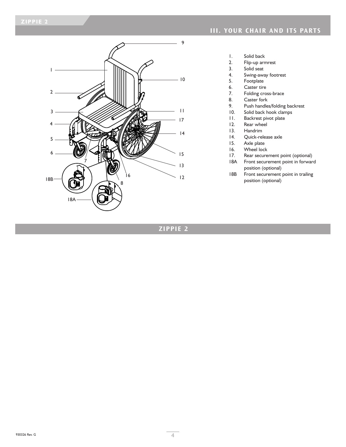

### **III. YOUR CHAIR AND ITS PARTS**

- 1. Solid back<br>2. Flip-up arr
- Flip-up armrest
- 3. Solid seat<br>4. Swing-awa
- 4. Swing-away footrest<br>5. Footplate
- 5. Footplate<br>6. Caster tire
- 6. Caster tire<br>7. Folding cro
- 7. Folding cross-brace<br>8. Caster fork
- 8. Caster fork<br>9. Push handle
- 9. Push handles/folding backrest<br>10. Solid back hook clamps
- 10. Solid back hook clamps<br>11. Backrest pivot plate
- 11. Backrest pivot plate<br>12. Rear wheel
- 12. Rear wheel<br>13. Handrim
- 13. Handrim<br>14. Quick-rel
- Quick-release axle
- 15. Axle plate<br>16. Wheel lock
- 16. Wheel lock<br>17. Rear secure
- 17. Rear securement point (optional)<br>18A Front securement point in forwar
- Front securement point in forward position (optional)
- 18B Front securement point in trailing position (optional)

### **ZIPPIE 2**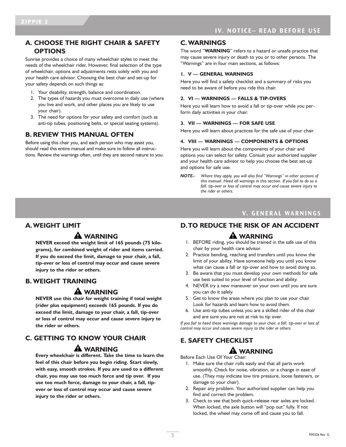### **A. CHOOSE THE RIGHT CHAIR & SAFETY OPTIONS**

Sunrise provides a choice of many wheelchair styles to meet the needs of the wheelchair rider. However, final selection of the type of wheelchair, options and adjustments rests solely with you and your health care advisor. Choosing the best chair and set-up for your safety depends on such things as:

- 1. Your disability, strength, balance and coordination.
- 2. The types of hazards you must overcome in daily use (where you live and work, and other places you are likely to use your chair).
- 3. The need for options for your safety and comfort (such as anti-tip tubes, positioning belts, or special seating systems).

#### **B. REVIEW THIS MANUAL OFTEN**

Before using this chair you, and each person who may assist you, should read this entire manual and make sure to follow all instructions. Review the warnings often, until they are second nature to you.

#### **C.WARNINGS**

The word "**WARNING**" refers to a hazard or unsafe practice that may cause severe injury or death to you or to other persons. The "Warnings" are in four main sections, as follows:

#### **1. V — GENERAL WARNINGS**

Here you will find a safety checklist and a summary of risks you need to be aware of before you ride this chair.

#### **2. VI — WARNINGS — FALLS & TIP-OVERS**

Here you will learn how to avoid a fall or tip-over while you perform daily activities in your chair.

#### **3. VII — WARNINGS — FOR SAFE USE**

Here you will learn about practices for the safe use of your chair

#### **4. VIII — WARNINGS — COMPONENTS & OPTIONS**

Here you will learn about the components of your chair and options you can select for safety. Consult your authorized supplier and your health care advisor to help you choose the best set-up and options for safe use.

#### **V. GENERAL WARNINGS**

#### **D.TO REDUCE THE RISK OF AN ACCIDENT**

#### **A** WARNING

- 1. BEFORE riding, you should be trained in the safe use of this chair by your health care advisor.
- 2. Practice bending, reaching and transfers until you know the limit of your ability. Have someone help you until you know what can cause a fall or tip-over and how to avoid doing so.
- 3. Be aware that you must develop your own methods for safe use best suited to your level of function and ability.
- 4. NEVER try a new maneuver on your own until you are sure you can do it safely.
- 5. Get to know the areas where you plan to use your chair. Look for hazards and learn how to avoid them.
- 6. Use anti-tip tubes unless you are a skilled rider of this chair and are sure you are not at risk to tip over.

*If you fail to heed these warnings damage to your chair, a fall, tip-over or loss of control may occur and cause severe injury to the rider or others.*

### **E. SAFETY CHECKLIST**

### **A** WARNING

Before Each Use Of Your Chair:

- 1. Make sure the chair rolls easily and that all parts work smoothly. Check for noise, vibration, or a change in ease of use. (They may indicate low tire pressure, loose fasteners, or damage to your chair).
- 2. Repair any problem. Your authorized supplier can help you find and correct the problem.
- 3. Check to see that both quick-release rear axles are locked. When locked, the axle button will "pop out" fully. If not locked, the wheel may come off and cause you to fall.

### **A.WEIGHT LIMIT**

### **WARNING**

**NEVER exceed the weight limit of 165 pounds (75 kilograms), for combined weight of rider and items carried. If you do exceed the limit, damage to your chair, a fall, tip-over or loss of control may occur and cause severe injury to the rider or others.**

#### **B. WEIGHT TRAINING**

#### **WARNING**

**NEVER use this chair for weight training if total weight (rider plus equipment) exceeds 165 pounds. If you do exceed the limit, damage to your chair, a fall, tip-over or loss of control may occur and cause severe injury to the rider or others.**

# **C. GETTING TO KNOW YOUR CHAIR**

#### **A** WARNING

**Every wheelchair is different. Take the time to learn the feel of this chair before you begin riding. Start slowly, with easy, smooth strokes. If you are used to a different chair, you may use too much force and tip over. If you use too much force, damage to your chair, a fall, tipover or loss of control may occur and cause severe injury to the rider or others.**

*NOTE– Where they apply, you will also find "Warnings" in other sections of this manual. Heed all warnings in this section. If you fail to do so a fall, tip-over or loss of control may occur and cause severe injury to the rider or others.*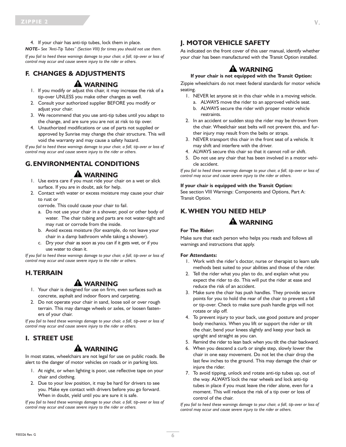4. If your chair has anti-tip tubes, lock them in place.

*NOTE– See "Anti-Tip Tubes" (Section VIII) for times you should not use them.*

*If you fail to heed these warnings damage to your chair, a fall, tip-over or loss of control may occur and cause severe injury to the rider or others.*

# **F. CHANGES & ADJUSTMENTS**

#### **A** WARNING

- 1. If you modify or adjust this chair, it may increase the risk of a tip-over UNLESS you make other changes as well.
- 2. Consult your authorized supplier BEFORE you modify or adjust your chair.
- 3. We recommend that you use anti-tip tubes until you adapt to the change, and are sure you are not at risk to tip over.
- 4. Unauthorized modifications or use of parts not supplied or approved by Sunrise may change the chair structure. This will void the warranty and may cause a safety hazard.

*If you fail to heed these warnings damage to your chair, a fall, tip-over or loss of control may occur and cause severe injury to the rider or others.*

# **G.ENVIRONMENTAL CONDITIONS**

### **A** WARNING

- 1. Use extra care if you must ride your chair on a wet or slick surface. If you are in doubt, ask for help.
- 2. Contact with water or excess moisture may cause your chair to rust or

corrode. This could cause your chair to fail.

- a. Do not use your chair in a shower, pool or other body of water. The chair tubing and parts are not water-tight and may rust or corrode from the inside.
- b. Avoid excess moisture (for example, do not leave your chair in a damp bathroom while taking a shower).
- c. Dry your chair as soon as you can if it gets wet, or if you use water to clean it.

*If you fail to heed these warnings damage to your chair, a fall, tip-over or loss of control may occur and cause severe injury to the rider or others.*

#### **H.TERRAIN**

### **A** WARNING

- 1. Your chair is designed for use on firm, even surfaces such as concrete, asphalt and indoor floors and carpeting.
- 2. Do not operate your chair in sand, loose soil or over rough terrain. This may damage wheels or axles, or loosen fasteners of your chair.

*If you fail to heed these warnings damage to your chair, a fall, tip-over or loss of control may occur and cause severe injury to the rider or others.*

#### **I. STREET USE**

### **WARNING**

In most states, wheelchairs are not legal for use on public roads. Be alert to the danger of motor vehicles on roads or in parking lots.

- 1. At night, or when lighting is poor, use reflective tape on your chair and clothing.
- 2. Due to your low position, it may be hard for drivers to see you. Make eye contact with drivers before you go forward. When in doubt, yield until you are sure it is safe.

*If you fail to heed these warnings damage to your chair, a fall, tip-over or loss of control may occur and cause severe injury to the rider or others.*

### **J. MOTOR VEHICLE SAFETY**

As indicated on the front cover of this user manual, identify whether your chair has been manufactured with the Transit Option installed.

# **A** WARNING

#### **If your chair is not equipped with the Transit Option:**

Zippie wheelchairs do not meet federal standards for motor vehicle seating.

- 1. NEVER let anyone sit in this chair while in a moving vehicle.
	- a. ALWAYS move the rider to an approved vehicle seat.
	- b. ALWAYS secure the rider with proper motor vehicle restraints.
- 2. In an accident or sudden stop the rider may be thrown from the chair. Wheelchair seat belts will not prevent this, and further injury may result from the belts or straps.
- 3. NEVER transport this chair in the front seat of a vehicle. It may shift and interfere with the driver.
- 4. ALWAYS secure this chair so that it cannot roll or shift.
- 5. Do not use any chair that has been involved in a motor vehicle accident.

*If you fail to heed these warnings damage to your chair, a fall, tip-over or loss of control may occur and cause severe injury to the rider or others.*

#### **If your chair is equipped with the Transit Option:**

See section VIII Warnings: Components and Options, Part A: Transit Option.

### **K.WHEN YOU NEED HELP**

### **WARNING**

#### **For The Rider:**

Make sure that each person who helps you reads and follows all warnings and instructions that apply.

#### **For Attendants:**

- 1. Work with the rider's doctor, nurse or therapist to learn safe methods best suited to your abilities and those of the rider.
- 2. Tell the rider what you plan to do, and explain what you expect the rider to do. This will put the rider at ease and reduce the risk of an accident.
- 3. Make sure the chair has push handles. They provide secure points for you to hold the rear of the chair to prevent a fall or tip-over. Check to make sure push handle grips will not rotate or slip off.
- 4. To prevent injury to your back, use good posture and proper body mechanics. When you lift or support the rider or tilt the chair, bend your knees slightly and keep your back as upright and straight as you can.
- 5. Remind the rider to lean back when you tilt the chair backward.
- 6. When you descend a curb or single step, slowly lower the chair in one easy movement. Do not let the chair drop the last few inches to the ground. This may damage the chair or injure the rider.
- 7. To avoid tipping, unlock and rotate anti-tip tubes up, out of the way. ALWAYS lock the rear wheels and lock anti-tip tubes in place if you must leave the rider alone, even for a moment. This will reduce the risk of a tip over or loss of control of the chair.

*If you fail to heed these warnings damage to your chair, a fall, tip-over or loss of control may occur and cause severe injury to the rider or others.*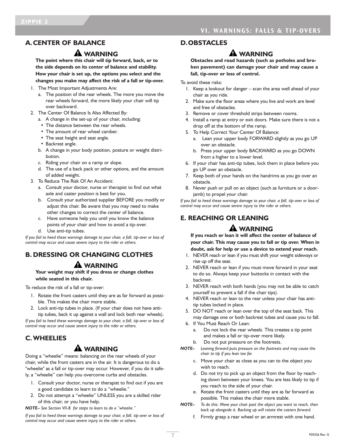### **A.CENTER OF BALANCE**

#### **WARNING**

**The point where this chair will tip forward, back, or to the side depends on its center of balance and stability. How your chair is set up, the options you select and the changes you make may affect the risk of a fall or tip-over.**

- 1. The Most Important Adjustments Are:
	- a. The position of the rear wheels. The more you move the rear wheels forward, the more likely your chair will tip over backward.
- 2. The Center Of Balance Is Also Affected By:
	- a. A change in the set-up of your chair, including:
	- The distance between the rear wheels.
	- The amount of rear wheel camber.
	- The seat height and seat angle.
	- Backrest angle.
	- b. A change in your body position, posture or weight distribution.
	- c. Riding your chair on a ramp or slope.
	- d. The use of a back pack or other options, and the amount of added weight.
- 3. To Reduce The Risk Of An Accident:
	- a. Consult your doctor, nurse or therapist to find out what axle and caster position is best for you.
	- b. Consult your authorized supplier BEFORE you modify or adjust this chair. Be aware that you may need to make other changes to correct the center of balance.
	- c. Have someone help you until you know the balance
	- points of your chair and how to avoid a tip-over.
	- d. Use anti-tip tubes.

*If you fail to heed these warnings damage to your chair, a fall, tip-over or loss of control may occur and cause severe injury to the rider or others.*

# **B. DRESSING OR CHANGING CLOTHES**

# **WARNING**

**Your weight may shift if you dress or change clothes while seated in this chair.**

To reduce the risk of a fall or tip-over:

- 1. Rotate the front casters until they are as far forward as possible. This makes the chair more stable.
- 2. Lock anti-tip tubes in place. (If your chair does not have antitip tubes, back it up against a wall and lock both rear wheels).

*If you fail to heed these warnings damage to your chair, a fall, tip-over or loss of control may occur and cause severe injury to the rider or others.*

### **C.WHEELIES**

# **WARNING**

Doing a "wheelie" means: balancing on the rear wheels of your chair, while the front casters are in the air. It is dangerous to do a "wheelie" as a fall or tip-over may occur. However, if you do it safely, a "wheelie" can help you overcome curbs and obstacles.

- 1. Consult your doctor, nurse or therapist to find out if you are a good candidate to learn to do a "wheelie."
- 2. Do not attempt a "wheelie" UNLESS you are a skilled rider of this chair, or you have help.

*NOTE– See Section VII-B for steps to learn to do a "wheelie."*

*If you fail to heed these warnings damage to your chair, a fall, tip-over or loss of control may occur and cause severe injury to the rider or others.*

#### **D.OBSTACLES**

### **WARNING**

**Obstacles and road hazards (such as potholes and broken pavement) can damage your chair and may cause a fall, tip-over or loss of control.**

To avoid these risks:

- 1. Keep a lookout for danger scan the area well ahead of your chair as you ride.
- 2. Make sure the floor areas where you live and work are level and free of obstacles.
- 3. Remove or cover threshold strips between rooms.
- 4. Install a ramp at entry or exit doors. Make sure there is not a drop off at the bottom of the ramp.
- 5. To Help Correct Your Center Of Balance:
	- a. Lean your upper body FORWARD slightly as you go UP over an obstacle.
	- b. Press your upper body BACKWARD as you go DOWN from a higher to a lower level.
- 6. If your chair has anti-tip tubes, lock them in place before you go UP over an obstacle.
- 7. Keep both of your hands on the handrims as you go over an obstacle.
- 8. Never push or pull on an object (such as furniture or a doorjamb) to propel your chair.

*If you fail to heed these warnings damage to your chair, a fall, tip-over or loss of control may occur and cause severe injury to the rider or others.*

# **E. REACHING OR LEANING**

# **WARNING**

**If you reach or lean it will affect the center of balance of your chair. This may cause you to fall or tip over. When in doubt, ask for help or use a device to extend your reach.**

- 1. NEVER reach or lean if you must shift your weight sideways or rise up off the seat.
- 2. NEVER reach or lean if you must move forward in your seat to do so. Always keep your buttocks in contact with the backrest.
- 3. NEVER reach with both hands (you may not be able to catch yourself to prevent a fall if the chair tips).
- 4. NEVER reach or lean to the rear unless your chair has antitip tubes locked in place.
- 5. DO NOT reach or lean over the top of the seat back. This may damage one or both backrest tubes and cause you to fall.
- 6. If You Must Reach Or Lean:
	- a. Do not lock the rear wheels. This creates a tip point and makes a fall or tip-over more likely.
	- b. Do not put pressure on the footrests.
- *NOTE– Leaning forward puts pressure on the footrests and may cause the chair to tip if you lean too far.*
	- c. Move your chair as close as you can to the object you wish to reach.
	- d. Do not try to pick up an object from the floor by reaching down between your knees. You are less likely to tip if you reach to the side of your chair.
	- e. Rotate the front casters until they are as far forward as possible. This makes the chair more stable.
- *NOTE– To do this: Move your chair past the object you want to reach, then back up alongside it. Backing up will rotate the casters forward.*
	- f. Firmly grasp a rear wheel or an armrest with one hand.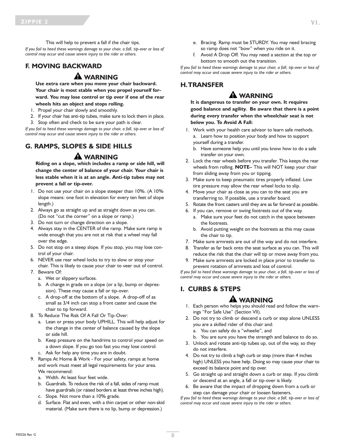This will help to prevent a fall if the chair tips. *If you fail to heed these warnings damage to your chair, a fall, tip-over or loss of control may occur and cause severe injury to the rider or others.*

### **F. MOVING BACKWARD**

#### **A** WARNING

**Use extra care when you move your chair backward. Your chair is most stable when you propel yourself forward. You may lose control or tip over if one of the rear wheels hits an object and stops rolling.**

- 1. Propel your chair slowly and smoothly.
- 2. If your chair has anti-tip tubes, make sure to lock them in place.
- 3. Stop often and check to be sure your path is clear.

*If you fail to heed these warnings damage to your chair, a fall, tip-over or loss of control may occur and cause severe injury to the rider or others.*

# **G. RAMPS, SLOPES & SIDE HILLS**

### **WARNING**

**Riding on a slope, which includes a ramp or side hill, will change the center of balance of your chair. Your chair is less stable when it is at an angle. Anti-tip tubes may not prevent a fall or tip-over.**

- 1. Do not use your chair on a slope steeper than 10%. (A 10% slope means: one foot in elevation for every ten feet of slope length.)
- 2. Always go as straight up and as straight down as you can. (Do not "cut the corner" on a slope or ramp.)
- 3. Do not turn or change direction on a slope.
- 4. Always stay in the CENTER of the ramp. Make sure ramp is wide enough that you are not at risk that a wheel may fall over the edge.
- 5. Do not stop on a steep slope. If you stop, you may lose control of your chair.
- 6. NEVER use rear wheel locks to try to slow or stop your chair. This is likely to cause your chair to veer out of control.
- 7. Beware Of:
	- a. Wet or slippery surfaces.
	- b. A change in grade on a slope (or a lip, bump or depression). These may cause a fall or tip-over.
	- c. A drop-off at the bottom of a slope. A drop-off of as small as 3/4 inch can stop a front caster and cause the chair to tip forward.
- 8. To Reduce The Risk Of A Fall Or Tip-Over:
	- a. Lean or press your body UPHILL. This will help adjust for the change in the center of balance caused by the slope or side hill.
	- b. Keep pressure on the handrims to control your speed on a down slope. If you go too fast you may lose control. c. Ask for help any time you are in doubt.
- 9. Ramps At Home & Work For your safety, ramps at home and work must meet all legal requirements for your area. We recommend:
	- a. Width. At least four feet wide.
	- b. Guardrails. To reduce the risk of a fall, sides of ramp must have guardrails (or raised borders at least three inches high).
	- c. Slope. Not more than a 10% grade.
	- d. Surface. Flat and even, with a thin carpet or other non-skid material. (Make sure there is no lip, bump or depression.)
- e. Bracing. Ramp must be STURDY. You may need bracing so ramp does not "bow" when you ride on it.
- f. Avoid A Drop Off. You may need a section at the top or bottom to smooth out the transition.

*If you fail to heed these warnings damage to your chair, a fall, tip-over or loss of control may occur and cause severe injury to the rider or others.*

#### **H.TRANSFER**

#### **WARNING**

**It is dangerous to transfer on your own. It requires good balance and agility. Be aware that there is a point during every transfer when the wheelchair seat is not below you. To Avoid A Fall:**

- 1. Work with your health care advisor to learn safe methods. a. Learn how to position your body and how to support yourself during a transfer.
	- b. Have someone help you until you know how to do a safe transfer on your own.
- 2. Lock the rear wheels before you transfer. This keeps the rear wheels from rolling. **NOTE–** This will NOT keep your chair from sliding away from you or tipping.
- 3. Make sure to keep pneumatic tires properly inflated. Low tire pressure may allow the rear wheel locks to slip.
- 4. Move your chair as close as you can to the seat you are transferring to. If possible, use a transfer board.
- 5. Rotate the front casters until they are as far forward as possible.
	- 6. If you can, remove or swing footrests out of the way.
		- a. Make sure your feet do not catch in the space between the footrests.
		- b. Avoid putting weight on the footrests as this may cause the chair to tip.
	- 7. Make sure armrests are out of the way and do not interfere.
	- 8. Transfer as far back onto the seat surface as you can. This will reduce the risk that the chair will tip or move away from you.
	- 9. Make sure armrests are locked in place prior to transfer to prevent rotation of armrests and loss of control.

*If you fail to heed these warnings damage to your chair, a fall, tip-over or loss of control may occur and cause severe injury to the rider or others.*

### **I. CURBS & STEPS**

### **WARNING**

- 1. Each person who helps you should read and follow the warnings "For Safe Use" (Section VII).
- 2. Do not try to climb or descend a curb or step alone UNLESS you are a skilled rider of this chair and:
	- a. You can safely do a "wheelie", and
	- b. You are sure you have the strength and balance to do so.
- 3. Unlock and rotate anti-tip tubes up, out of the way, so they do not interfere.
- 4. Do not try to climb a high curb or step (more than 4 inches high) UNLESS you have help. Doing so may cause your chair to exceed its balance point and tip over.
- 5. Go straight up and straight down a curb or step. If you climb or descend at an angle, a fall or tip-over is likely.
- 6. Be aware that the impact of dropping down from a curb or step can damage your chair or loosen fasteners.

*If you fail to heed these warnings damage to your chair, a fall, tip-over or loss of control may occur and cause severe injury to the rider or others.*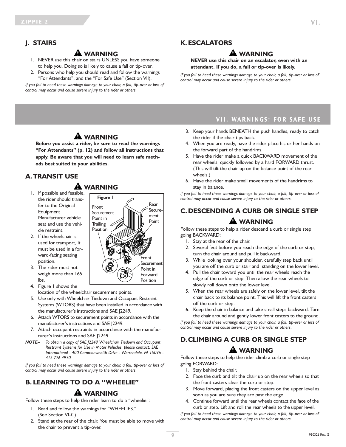### **J. STAIRS**

# **WARNING**

- 1. NEVER use this chair on stairs UNLESS you have someone to help you. Doing so is likely to cause a fall or tip-over.
- 2. Persons who help you should read and follow the warnings "For Attendants", and the "For Safe Use" (Section VII).

*If you fail to heed these warnings damage to your chair, a fall, tip-over or loss of control may occur and cause severe injury to the rider or others.*

### **K. ESCALATORS**

### **WARNING**

#### **NEVER use this chair on an escalator, even with an attendant. If you do, a fall or tip-over is likely.**

*If you fail to heed these warnings damage to your chair, a fall, tip-over or loss of control may occur and cause severe injury to the rider or others.*

# **WARNING**

**Before you assist a rider, be sure to read the warnings "For Attendants" (p. 12) and follow all instructions that apply. Be aware that you will need to learn safe methods best suited to your abilities.**

### **A.TRANSIT USE**

# **A** WARNING

- 1. If possible and feasible, the rider should transfer to the Original Equipment Manufacturer vehicle seat and use the vehicle restraint.
- 2. If the wheelchair is used for transport, it must be used in a forward-facing seating position.
- 3. The rider must not weigh more than 165 lbs.
- 4. Figure 1 shows the
- location of the wheelchair securement points.
- 5. Use only with Wheelchair Tiedown and Occupant Restraint Systems (WTORS) that have been installed in accordance with the manufacturer's instructions and SAE J2249.
- 6. Attach WTORS to securement points in accordance with the manufacturer's instructions and SAE J2249.
- 7. Attach occupant restraints in accordance with the manufacturer's instructions and SAE J2249.
- *NOTE– To obtain a copy of SAE J2249 Wheelchair Tiedown and Occupant Restraint Systems for Use in Motor Vehicles, please contact: SAE International - 400 Commonwealth Drive - Warrendale, PA 15096 - 412.776.4970*

*If you fail to heed these warnings damage to your chair, a fall, tip-over or loss of control may occur and cause severe injury to the rider or others.*

# **B. LEARNING TO DO A "WHEELIE" WARNING**

Follow these steps to help the rider learn to do a "wheelie":

- 1. Read and follow the warnings for "WHEELIES." (See Section VI-C)
- 2. Stand at the rear of the chair. You must be able to move with the chair to prevent a tip-over.

### **VII. WARNINGS: FOR SAFE USE**

- 3. Keep your hands BENEATH the push handles, ready to catch the rider if the chair tips back.
- 4. When you are ready, have the rider place his or her hands on the forward part of the handrims.
- 5. Have the rider make a quick BACKWARD movement of the rear wheels, quickly followed by a hard FORWARD thrust. (This will tilt the chair up on the balance point of the rear wheels.)
- 6. Have the rider make small movements of the handrims to stay in balance.

*If you fail to heed these warnings damage to your chair, a fall, tip-over or loss of control may occur and cause severe injury to the rider or others.*

# **C.DESCENDING A CURB OR SINGLE STEP WARNING**

Follow these steps to help a rider descend a curb or single step going BACKWARD:

- 1. Stay at the rear of the chair.
- 2. Several feet before you reach the edge of the curb or step, turn the chair around and pull it backward.
- 3. While looking over your shoulder, carefully step back until you are off the curb or stair and standing on the lower level.
- 4. Pull the chair toward you until the rear wheels reach the edge of the curb or step. Then allow the rear wheels to slowly roll down onto the lower level.
- 5. When the rear wheels are safely on the lower level, tilt the chair back to its balance point. This will lift the front casters off the curb or step.
- 6. Keep the chair in balance and take small steps backward. Turn the chair around and gently lower front casters to the ground.

*If you fail to heed these warnings damage to your chair, a fall, tip-over or loss of control may occur and cause severe injury to the rider or others.*

# **D.CLIMBING A CURB OR SINGLE STEP WARNING**

Follow these steps to help the rider climb a curb or single step going FORWARD:

- 1. Stay behind the chair.
- 2. Face the curb and tilt the chair up on the rear wheels so that the front casters clear the curb or step.
- 3. Move forward, placing the front casters on the upper level as soon as you are sure they are past the edge.
- 4. Continue forward until the rear wheels contact the face of the curb or step. Lift and roll the rear wheels to the upper level.

*If you fail to heed these warnings damage to your chair, a fall, tip-over or loss of control may occur and cause severe injury to the rider or others.*

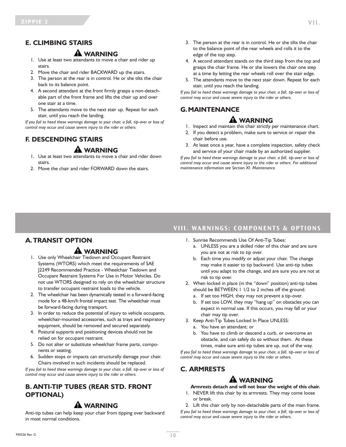### **E. CLIMBING STAIRS**

#### **WARNING**

- 1. Use at least two attendants to move a chair and rider up stairs.
- 2. Move the chair and rider BACKWARD up the stairs.
- 3. The person at the rear is in control. He or she tilts the chair back to its balance point.
- 4. A second attendant at the front firmly grasps a non-detachable part of the front frame and lifts the chair up and over one stair at a time.
- 5. The attendants move to the next stair up. Repeat for each stair, until you reach the landing.

*If you fail to heed these warnings damage to your chair, a fall, tip-over or loss of control may occur and cause severe injury to the rider or others.*

# **F. DESCENDING STAIRS**

#### **A** WARNING

- 1. Use at least two attendants to move a chair and rider down stairs.
- 2. Move the chair and rider FORWARD down the stairs.
- 3. The person at the rear is in control. He or she tilts the chair to the balance point of the rear wheels and rolls it to the edge of the top step.
- 4. A second attendant stands on the third step from the top and grasps the chair frame. He or she lowers the chair one step at a time by letting the rear wheels roll over the stair edge.
- 5. The attendants move to the next stair down. Repeat for each stair, until you reach the landing.

*If you fail to heed these warnings damage to your chair, a fall, tip-over or loss of control may occur and cause severe injury to the rider or others.*

### **G.MAINTENANCE**

### **WARNING**

- 1. Inspect and maintain this chair strictly per maintenance chart.
- 2. If you detect a problem, make sure to service or repair the chair before use.
- 3. At least once a year, have a complete inspection, safety check and service of your chair made by an authorized supplier.

*If you fail to heed these warnings damage to your chair, a fall, tip-over or loss of control may occur and cause severe injury to the rider or others. For additional maintenance information see Section XI: Maintenance.*

#### **VIII. WARNINGS: COMPONENTS & OPTIONS**

### **A.TRANSIT OPTION**

### **A** WARNING

- 1. Use only Wheelchair Tiedown and Occupant Restraint Systems (WTORS) which meet the requirements of SAE J2249 Recommended Practice - Wheelchair Tiedown and Occupant Restraint Systems For Use in Motor Vehicles. Do not use WTORS designed to rely on the wheelchair structure to transfer occupant restraint loads to the vehicle.
- 2. The wheelchair has been dynamically tested in a forward-facing mode for a 48-km/h frontal impact test. The wheelchair must be forward-facing during transport.
- 3. In order to reduce the potential of injury to vehicle occupants, wheelchair-mounted accessories, such as trays and respiratory equipment, should be removed and secured separately.
- 4. Postural supports and positioning devices should not be relied on for occupant restraint.
- 5. Do not alter or substitute wheelchair frame parts, components or seating.
- 6. Sudden stops or impacts can structurally damage your chair. Chairs involved in such incidents should be replaced.

*If you fail to heed these warnings damage to your chair, a fall, tip-over or loss of control may occur and cause severe injury to the rider or others.*

### **B. ANTI-TIP TUBES (REAR STD. FRONT OPTIONAL)**

# **WARNING**

Anti-tip tubes can help keep your chair from tipping over backward in most normal conditions.

- 1. Sunrise Recommends Use Of Anti-Tip Tubes:
	- a. UNLESS you are a skilled rider of this chair and are sure you are not at risk to tip over.
	- b. Each time you modify or adjust your chair. The change may make it easier to tip backward. Use anti-tip tubes until you adapt to the change, and are sure you are not at risk to tip over.
- 2. When locked in place (in the "down" position) anti-tip tubes should be BETWEEN 1 1/2 to 2 inches off the ground.
	- a. If set too HIGH, they may not prevent a tip-over.
	- b. If set too LOW, they may "hang up" on obstacles you can expect in normal use. If this occurs, you may fall or your chair may tip over.
- 3. Keep Anti-Tip Tubes Locked In Place UNLESS:
	- a. You have an attendant; or
	- b. You have to climb or descend a curb, or overcome an obstacle, and can safely do so without them. At these times, make sure anti-tip tubes are up, out of the way.

*If you fail to heed these warnings damage to your chair, a fall, tip-over or loss of control may occur and cause severe injury to the rider or others.*

### **C. ARMRESTS**

### **WARNING**

**Armrests detach and will not bear the weight of this chair.**

1. NEVER lift this chair by its armrests. They may come loose or break.

2. Lift this chair only by non-detachable parts of the main frame. *If you fail to heed these warnings damage to your chair, a fall, tip-over or loss of control may occur and cause severe injury to the rider or others.*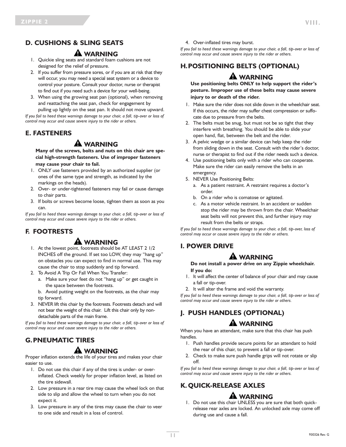# **D. CUSHIONS & SLING SEATS**

### **WARNING**

- 1. Quickie sling seats and standard foam cushions are not designed for the relief of pressure.
- 2. If you suffer from pressure sores, or if you are at risk that they will occur, you may need a special seat system or a device to control your posture. Consult your doctor, nurse or therapist to find out if you need such a device for your well-being.
- 3. When using the growing seat pan (optional), when removing and reattaching the seat pan, check for engagement by pulling up lightly on the seat pan. It should not move upward.

*If you fail to heed these warnings damage to your chair, a fall, tip-over or loss of control may occur and cause severe injury to the rider or others.*

### **E. FASTENERS**

# **WARNING**

**Many of the screws, bolts and nuts on this chair are special high-strength fasteners. Use of improper fasteners may cause your chair to fail.**

- 1. ONLY use fasteners provided by an authorized supplier (or ones of the same type and strength, as indicated by the markings on the heads).
- 2. Over- or under-tightened fasteners may fail or cause damage to chair parts.
- 3. If bolts or screws become loose, tighten them as soon as you can.

*If you fail to heed these warnings damage to your chair, a fall, tip-over or loss of control may occur and cause severe injury to the rider or others.*

### **F. FOOTRESTS**

### **A** WARNING

- 1. At the lowest point, footrests should be AT LEAST 2 1/2 INCHES off the ground. If set too LOW, they may "hang up" on obstacles you can expect to find in normal use. This may cause the chair to stop suddenly and tip forward.
- 2. To Avoid A Trip Or Fall When You Transfer:
	- a. Make sure your feet do not "hang up" or get caught in the space between the footrests.
	- b. Avoid putting weight on the footrests, as the chair may tip forward.
- 3. NEVER lift this chair by the footrests. Footrests detach and will not bear the weight of this chair. Lift this chair only by nondetachable parts of the main frame.

*If you fail to heed these warnings damage to your chair, a fall, tip-over or loss of control may occur and cause severe injury to the rider or others.*

# **G.PNEUMATIC TIRES**

### **A** WARNING

Proper inflation extends the life of your tires and makes your chair easier to use.

- 1. Do not use this chair if any of the tires is under- or overinflated. Check weekly for proper inflation level, as listed on the tire sidewall.
- 2. Low pressure in a rear tire may cause the wheel lock on that side to slip and allow the wheel to turn when you do not expect it.
- 3. Low pressure in any of the tires may cause the chair to veer to one side and result in a loss of control.

4. Over-inflated tires may burst.

*If you fail to heed these warnings damage to your chair, a fall, tip-over or loss of control may occur and cause severe injury to the rider or others.*

# **H.POSITIONING BELTS (OPTIONAL)**

# **WARNING**

**Use positioning belts ONLY to help support the rider's posture. Improper use of these belts may cause severe injury to or death of the rider.**

- 1. Make sure the rider does not slide down in the wheelchair seat. If this occurs, the rider may suffer chest compression or suffocate due to pressure from the belts.
- 2. The belts must be snug, but must not be so tight that they interfere with breathing. You should be able to slide your open hand, flat, between the belt and the rider.
- 3. A pelvic wedge or a similar device can help keep the rider from sliding down in the seat. Consult with the rider's doctor, nurse or therapist to find out if the rider needs such a device.
- 4. Use positioning belts only with a rider who can cooperate. Make sure the rider can easily remove the belts in an emergency.
- 5. NEVER Use Positioning Belts:
	- a. As a patient restraint. A restraint requires a doctor's order.
	- b. On a rider who is comatose or agitated.
	- c. As a motor vehicle restraint. In an accident or sudden stop the rider may be thrown from the chair. Wheelchair seat belts will not prevent this, and further injury may result from the belts or straps.

*If you fail to heed these warnings damage to your chair, a fall, tip-over, loss of control may occur or cause severe injury to the rider or others.*

### **I. POWER DRIVE**

### **WARNING**

**Do not install a power drive on any Zippie wheelchair. If you do:**

- 1. It will affect the center of balance of your chair and may cause a fall or tip-over.
- 2. It will alter the frame and void the warranty.

*If you fail to heed these warnings damage to your chair, a fall, tip-over or loss of control may occur and cause severe injury to the rider or others.*

# **J. PUSH HANDLES (OPTIONAL)**

### **WARNING**

When you have an attendant, make sure that this chair has push handles.

- 1. Push handles provide secure points for an attendant to hold the rear of this chair, to prevent a fall or tip-over.
- 2. Check to make sure push handle grips will not rotate or slip off.

*If you fail to heed these warnings damage to your chair, a fall, tip-over or loss of control may occur and cause severe injury to the rider or others.*

### **K. QUICK-RELEASE AXLES**

### **WARNING**

1. Do not use this chair UNLESS you are sure that both quickrelease rear axles are locked. An unlocked axle may come off during use and cause a fall.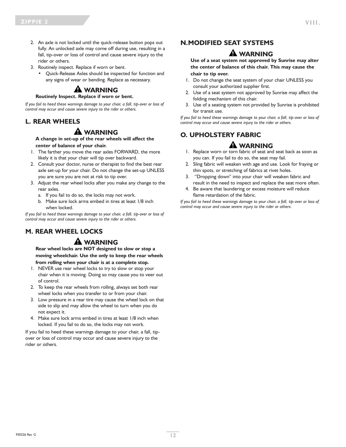- 2. An axle is not locked until the quick-release button pops out fully. An unlocked axle may come off during use, resulting in a fall, tip-over or loss of control and cause severe injury to the rider or others.
- 3. Routinely inspect. Replace if worn or bent.
	- Quick-Release Axles should be inspected for function and any signs of wear or bending. Replace as necessary.

# **WARNING**

#### **Routinely Inspect. Replace if worn or bent.**

*If you fail to heed these warnings damage to your chair, a fall, tip-over or loss of control may occur and cause severe injury to the rider or others.*

#### **L. REAR WHEELS**

### **WARNING**

**A change in set-up of the rear wheels will affect the center of balance of your chair.**

- 1. The farther you move the rear axles FORWARD, the more likely it is that your chair will tip over backward.
- 2. Consult your doctor, nurse or therapist to find the best rear axle set-up for your chair. Do not change the set-up UNLESS you are sure you are not at risk to tip over.
- 3. Adjust the rear wheel locks after you make any change to the rear axles.
	- a. If you fail to do so, the locks may not work.
	- b. Make sure lock arms embed in tires at least 1/8 inch when locked.

*If you fail to heed these warnings damage to your chair, a fall, tip-over or loss of control may occur and cause severe injury to the rider or others.*

### **M. REAR WHEEL LOCKS**

### **A** WARNING

**Rear wheel locks are NOT designed to slow or stop a moving wheelchair. Use the only to keep the rear wheels from rolling when your chair is at a complete stop.**

- 1. NEVER use rear wheel locks to try to slow or stop your chair when it is moving. Doing so may cause you to veer out of control.
- 2. To keep the rear wheels from rolling, always set both rear wheel locks when you transfer to or from your chair.
- 3. Low pressure in a rear tire may cause the wheel lock on that side to slip and may allow the wheel to turn when you do not expect it.
- 4. Make sure lock arms embed in tires at least 1/8 inch when locked. If you fail to do so, the locks may not work.

If you fail to heed these warnings damage to your chair, a fall, tipover or loss of control may occur and cause severe injury to the rider or others.

### **N.MODIFIED SEAT SYSTEMS**

### **WARNING**

**Use of a seat system not approved by Sunrise may alter the center of balance of this chair. This may cause the chair to tip over.**

- 1. Do not change the seat system of your chair UNLESS you consult your authorized supplier first.
- 2. Use of a seat system not approved by Sunrise may affect the folding mechanism of this chair.
- 3. Use of a seating system not provided by Sunrise is prohibited for transit use.

*If you fail to heed these warnings damage to your chair, a fall, tip-over or loss of control may occur and cause severe injury to the rider or others.*

### **O. UPHOLSTERY FABRIC**

### **WARNING**

- 1. Replace worn or torn fabric of seat and seat back as soon as you can. If you fail to do so, the seat may fail.
- 2. Sling fabric will weaken with age and use. Look for fraying or thin spots, or stretching of fabrics at rivet holes.
- 3. "Dropping down" into your chair will weaken fabric and result in the need to inspect and replace the seat more often.
- 4. Be aware that laundering or excess moisture will reduce flame retardation of the fabric.

*If you fail to heed these warnings damage to your chair, a fall, tip-over or loss of control may occur and cause severe injury to the rider or others.*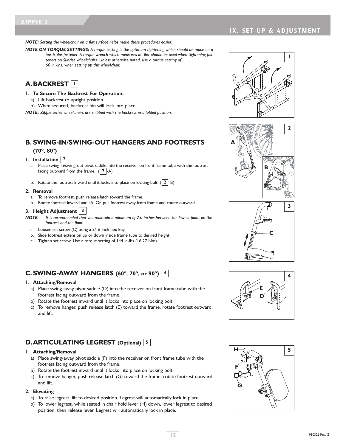*NOTE: Setting the wheelchair on a flat surface helps make these procedures easier.*

*NOTE ON TORQUE SETTINGS: A torque setting is the optimum tightening which should be made on a particular fastener. A torque wrench which measures in.-lbs. should be used when tightening fasteners on Sunrise wheelchairs. Unless otherwise noted, use a torque setting of 60 in.-lbs. when setting up this wheelchair.*



- **1. To Secure The Backrest For Operation:**
	- a) Lift backrest to upright position.
	- b) When secured, backrest pin will lock into place.

*NOTE: Zippie series wheelchairs are shipped with the backrest in a folded position.*

#### **B. SWING-IN/SWING-OUT HANGERS AND FOOTRESTS (70º, 80°)**

- **1. Installation 2** a. Place swing-in/swing-out pivot saddle into the receiver on front frame tube with the footrest facing outward from the frame.  $(|2|$ -A)
	- b. Rotate the footrest inward until it locks into place on locking bolt.  $(|2|$ -B)

#### **2. Removal**

- a. To remove footrest, push release latch toward the frame.
- b. Rotate footrest inward and lift. Or, pull footrest away from frame and rotate outward.

#### **3. Height Adjustment 3**

*NOTE– It is recommended that you maintain a minimum of 2.0 inches between the lowest point on the footrest and the floor.*

- a. Loosen set screw (C) using a 3/16 inch hex key.
- b. Slide footrest extension up or down inside frame tube to desired height.
- c. Tighten set screw. Use a torque setting of 144 in-lbs (16.27 Nm).

### **C. SWING-AWAY HANGERS (60º, 70º, or 90º) 4**

#### **1. Attaching/Removal**

- a) Place swing-away pivot saddle (D) into the receiver on front frame tube with the footrest facing outward from the frame.
- b) Rotate the footrest inward until it locks into place on locking bolt.
- c) To remove hanger, push release latch (E) toward the frame, rotate footrest outward, and lift.

### **D.ARTICULATING LEGREST (Optional) 5**

#### **1. Attaching/Removal**

- a) Place swing-away pivot saddle (F) into the receiver on front frame tube with the footrest facing outward from the frame.
- b) Rotate the footrest inward until it locks into place on locking bolt.
- c) To remove hanger, push release latch (G) toward the frame, rotate footrest outward, and lift.

#### **2. Elevating**

- a) To raise legrest, lift to desired position. Legrest will automatically lock in place.
- b) To lower legrest, while seated in chair hold lever (H) down, lower legrest to desired position, then release lever. Legrest will automatically lock in place.









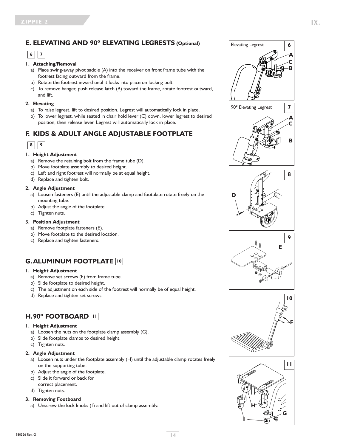### **E. ELEVATING AND 90º ELEVATING LEGRESTS (Optional)**

# **6 7**

#### **1. Attaching/Removal**

- a) Place swing-away pivot saddle (A) into the receiver on front frame tube with the footrest facing outward from the frame.
- b) Rotate the footrest inward until it locks into place on locking bolt.
- c) To remove hanger, push release latch (B) toward the frame, rotate footrest outward, and lift.

#### **2. Elevating**

- a) To raise legrest, lift to desired position. Legrest will automatically lock in place.
- b) To lower legrest, while seated in chair hold lever (C) down, lower legrest to desired position, then release lever. Legrest will automatically lock in place.

### **F. KIDS & ADULT ANGLE ADJUSTABLE FOOTPLATE**

| × | × |  |
|---|---|--|
|   |   |  |

#### **1. Height Adjustment**

- a) Remove the retaining bolt from the frame tube (D).
- b) Move footplate assembly to desired height.
- c) Left and right footrest will normally be at equal height.
- d) Replace and tighten bolt.

#### **2. Angle Adjustment**

- a) Loosen fasteners (E) until the adjustable clamp and footplate rotate freely on the mounting tube.
- b) Adjust the angle of the footplate.
- c) Tighten nuts.

#### **3. Position Adjustment**

- a) Remove footplate fasteners (E).
- b) Move footplate to the desired location.
- c) Replace and tighten fasteners.

# **G.ALUMINUM FOOTPLATE 10**

#### **1. Height Adjustment**

- a) Remove set screws (F) from frame tube.
- b) Slide footplate to desired height.
- c) The adjustment on each side of the footrest will normally be of equal height.
- d) Replace and tighten set screws.

### **H.90º FOOTBOARD 11**

#### **1. Height Adjustment**

- a) Loosen the nuts on the footplate clamp assembly (G).
- b) Slide footplate clamps to desired height.
- c) Tighten nuts.

#### **2. Angle Adjustment**

- a) Loosen nuts under the footplate assembly (H) until the adjustable clamp rotates freely on the supporting tube.
- b) Adjust the angle of the footplate.
- c) Slide it forward or back for
- correct placement.
- d) Tighten nuts.

#### **3. Removing Footboard**

a) Unscrew the lock knobs (I) and lift out of clamp assembly.











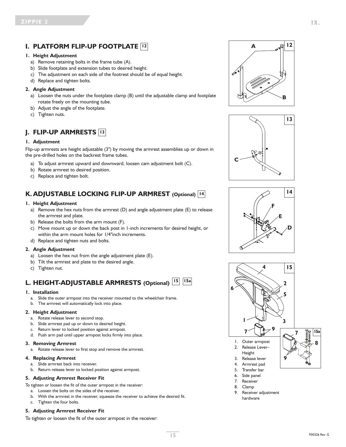### **I. PLATFORM FLIP-UP FOOTPLATE 12**

#### **1. Height Adjustment**

- a) Remove retaining bolts in the frame tube (A).
- b) Slide footplate and extension tubes to desired height.
- c) The adjustment on each side of the footrest should be of equal height.
- d) Replace and tighten bolts.

#### **2. Angle Adjustment**

- a) Loosen the nuts under the footplate clamp (B) until the adjustable clamp and footplate rotate freely on the mounting tube.
- b) Adjust the angle of the footplate.
- c) Tighten nuts.

# **J. FLIP-UP ARMRESTS 13**

#### **1. Adjustment**

Flip-up armrests are height adjustable (3") by moving the armrest assemblies up or down in the pre-drilled holes on the backrest frame tubes.

- a) To adjust armrest upward and downward, loosen cam adjustment bolt (C).
- b) Rotate armrest to desired position.
- c) Replace and tighten bolt.

# **K. ADJUSTABLE LOCKING FLIP-UP ARMREST (Optional) 14**

#### **1. Height Adjustment**

- a) Remove the hex nuts from the armrest (D) and angle adjustment plate (E) to release the armrest and plate.
- b) Release the bolts from the arm mount (F).
- c) Move mount up or down the back post in 1-inch increments for desired height, or within the arm mount holes for 1/4"inch increments.
- d) Replace and tighten nuts and bolts.

#### **2. Angle Adjustment**

- a) Loosen the hex nut from the angle adjustment plate (E).
- b) Tilt the armrest and plate to the desired angle.
- c) Tighten nut.

# **L. HEIGHT-ADJUSTABLE ARMRESTS (Optional) 15 15a**

#### **1. Installation**

- a. Slide the outer armpost into the receiver mounted to the wheelchair frame.
- b. The armrest will automatically lock into place.

#### **2. Height Adjustment**

- a. Rotate release lever to second stop.
- b. Slide armrest pad up or down to desired height.
- c. Return lever to locked position against armpost.
- d. Push arm pad until upper armpost locks firmly into place.

#### **3. Removing Armrest**

a. Rotate release lever to first stop and remove the armrest.

#### **4. Replacing Armrest**

- a. Slide armrest back into receiver.
- b. Return release lever to locked position against armpost.

#### **5. Adjusting Armrest Receiver Fit**

To tighten or loosen the fit of the outer armpost in the receiver:

- a. Loosen the bolts on the sides of the receiver.
- b. With the armrest in the receiver, squeeze the receiver to achieve the desired fit.
- c. Tighten the four bolts.

#### **5. Adjusting Armrest Receiver Fit**

To tighten or loosen the fit of the outer armpost in the receiver:









9. Receiver adjustment hardware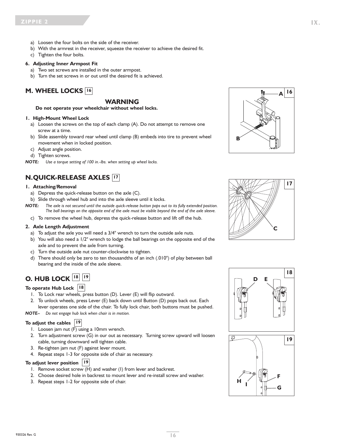- a) Loosen the four bolts on the side of the receiver.
- b) With the armrest in the receiver, squeeze the receiver to achieve the desired fit.
- c) Tighten the four bolts.

#### **6. Adjusting Inner Armpost Fit**

- a) Two set screws are installed in the outer armpost.
- b) Turn the set screws in or out until the desired fit is achieved.

### **M. WHEEL LOCKS 16**

#### **WARNING**

**Do not operate your wheelchair without wheel locks.**

#### **1. High-Mount Wheel Lock**

- a) Loosen the screws on the top of each clamp (A). Do not attempt to remove one screw at a time.
- b) Slide assembly toward rear wheel until clamp (B) embeds into tire to prevent wheel movement when in locked position.
- c) Adjust angle position.
- d) Tighten screws.

*NOTE: Use a torque setting of 100 in.-lbs. when setting up wheel locks.*

#### **N.QUICK-RELEASE AXLES 17**

#### **1. Attaching/Removal**

- a) Depress the quick-release button on the axle (C).
- b) Slide through wheel hub and into the axle sleeve until it locks.
- NOTE: The axle is not secured until the outside quick-release button pops out to its fully extended position. The ball bearings on the opposite end of the axle must be visible beyond the end of the axle sleeve.
	- c) To remove the wheel hub, depress the quick-release button and lift off the hub.

#### **2. Axle Length Adjustment**

- a) To adjust the axle you will need a 3/4" wrench to turn the outside axle nuts.
- b) You will also need a 1/2" wrench to lodge the ball bearings on the opposite end of the axle and to prevent the axle from turning.
- c) Turn the outside axle nut counter-clockwise to tighten.
- d) There should only be zero to ten thousandths of an inch (.010") of play between ball bearing and the inside of the axle sleeve.

### **O. HUB LOCK 18 19**

#### **To operate Hub Lock 18**

- 1. To Lock rear wheels, press button (D). Lever (E) will flip outward.
- 2. To unlock wheels, press Lever (E) back down until Button (D) pops back out. Each lever operates one side of the chair. To fully lock chair, both buttons must be pushed.

*NOTE– Do not engage hub lock when chair is in motion.*

#### **To adjust the cables 19**

- 1. Loosen jam nut (F) using a 10mm wrench.
- 2. Turn adjustment screw (G) in our out as necessary. Turning screw upward will loosen cable, turning downward will tighten cable.
- 3. Re-tighten jam nut (F) against lever mount.
- 4. Repeat steps 1-3 for opposite side of chair as necessary.

#### **To adjust lever position 19**

- 1. Remove socket screw (H) and washer (I) from lever and backrest.
- 2. Choose desired hole in backrest to mount lever and re-install screw and washer.
- 3. Repeat steps 1-2 for opposite side of chair.







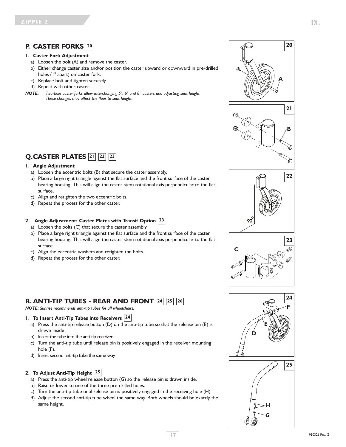### **P. CASTER FORKS 20**

#### **1. Caster Fork Adjustment**

- a) Loosen the bolt (A) and remove the caster.
- b) Either change caster size and/or position the caster upward or downward in pre-drilled holes (1" apart) on caster fork.
- c) Replace bolt and tighten securely.
- d) Repeat with other caster.
- *NOTE: Two-hole caster forks allow interchanging 5", 6" and 8" casters and adjusting seat height. These changes may affect the floor to seat height.*

# **Q.CASTER PLATES 21 22 23**

#### **1. Angle Adjustment**

- a) Loosen the eccentric bolts (B) that secure the caster assembly.
- b) Place a large right triangle against the flat surface and the front surface of the caster bearing housing. This will align the caster stem rotational axis perpendicular to the flat surface.
- c) Align and retighten the two eccentric bolts.
- d) Repeat the process for the other caster.

#### **2. Angle Adjustment: Caster Plates with Transit Option 23**

- a) Loosen the bolts (C) that secure the caster assembly.
- b) Place a large right triangle against the flat surface and the front surface of the caster bearing housing. This will align the caster stem rotational axis perpendicular to the flat surface.
- c) Align the eccentric washers and retighten the bolts.
- d) Repeat the process for the other caster.

# **R. ANTI-TIP TUBES - REAR AND FRONT 24 25 26**

*NOTE: Sunrise recommends anti-tip tubes for all wheelchairs.*

#### **1. To Insert Anti-Tip Tubes into Receivers 24**

- a) Press the anti-tip release button (D) on the anti-tip tube so that the release pin (E) is drawn inside.
- b) Insert the tube into the anti-tip receiver.
- c) Turn the anti-tip tube until release pin is positively engaged in the receiver mounting hole (F).
- d) Insert second anti-tip tube the same way.

#### **2. To Adjust Anti-Tip Height 25**

- a) Press the anti-tip wheel release button (G) so the release pin is drawn inside.
- b) Raise or lower to one of the three pre-drilled holes.
- c) Turn the anti-tip tube until release pin is positively engaged in the receiving hole (H).
- d) Adjust the second anti-tip tube wheel the same way. Both wheels should be exactly the same height.











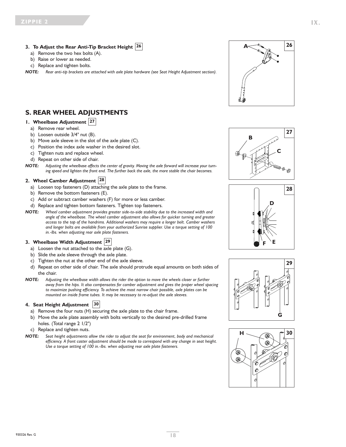#### **3. To Adjust the Rear Anti-Tip Bracket Height 26**

- a) Remove the two hex bolts (A).
- b) Raise or lower as needed.
- c) Replace and tighten bolts.
- *NOTE: Rear anti-tip brackets are attached with axle plate hardware (see Seat Height Adjustment section).*

#### **S. REAR WHEEL ADJUSTMENTS**

#### **1. Wheelbase Adjustment 27**

- a) Remove rear wheel.
- b) Loosen outside 3/4" nut (B).
- b) Move axle sleeve in the slot of the axle plate (C).
- c) Position the index axle washer in the desired slot.
- c) Tighten nuts and replace wheel.
- d) Repeat on other side of chair.
- NOTE: Adjusting the wheelbase affects the center of gravity. Moving the axle forward will increase your turn*ing speed and lighten the front end. The further back the axle, the more stable the chair becomes.*

#### **2. Wheel Camber Adjustment 28**

- a) Loosen top fasteners (D) attaching the axle plate to the frame.
- b) Remove the bottom fasteners (E).
- c) Add or subtract camber washers (F) for more or less camber.
- d) Replace and tighten bottom fasteners. Tighten top fasteners.
- *NOTE: Wheel camber adjustment provides greater side-to-side stability due to the increased width and angle of the wheelbase. The wheel camber adjustment also allows for quicker turning and greater access to the top of the handrims. Additional washers may require a longer bolt. Camber washers and longer bolts are available from your authorized Sunrise supplier. Use a torque setting of 100 in.-lbs. when adjusting rear axle plate fasteners.*

#### **3. Wheelbase Width Adjustment 29**

- a) Loosen the nut attached to the axle plate (G).
- b) Slide the axle sleeve through the axle plate.
- c) Tighten the nut at the other end of the axle sleeve.
- d) Repeat on other side of chair. The axle should protrude equal amounts on both sides of the chair.
- *NOTE: Adjusting the wheelbase width allows the rider the option to move the wheels closer or further away from the hips. It also compensates for camber adjustment and gives the proper wheel spacing to maximize pushing efficiency. To achieve the most narrow chair possible, axle plates can be mounted on inside frame tubes. It may be necessary to re-adjust the axle sleeves.*

#### **4. Seat Height Adjustment 30**

- a) Remove the four nuts (H) securing the axle plate to the chair frame.
- b) Move the axle plate assembly with bolts vertically to the desired pre-drilled frame holes. (Total range 2 1/2")
- c) Replace and tighten nuts.
- *NOTE: Seat height adjustments allow the rider to adjust the seat for environment, body and mechanical efficiency. A front caster adjustment should be made to correspond with any change in seat height. Use a torque setting of 100 in.-lbs. when adjusting rear axle plate fasteners.*









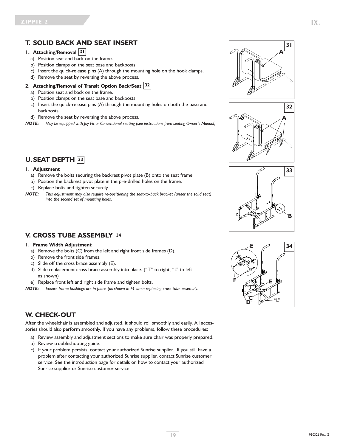### **T. SOLID BACK AND SEAT INSERT**

#### **1. Attaching/Removal 31**

- a) Position seat and back on the frame.
- b) Position clamps on the seat base and backposts.
- c) Insert the quick-release pins (A) through the mounting hole on the hook clamps.
- d) Remove the seat by reversing the above process.

#### **2. Attaching/Removal of Transit Option Back/Seat 32**

- a) Position seat and back on the frame.
- b) Position clamps on the seat base and backposts.
- c) Insert the quick-release pins (A) through the mounting holes on both the base and backposts.
- d) Remove the seat by reversing the above process.

*NOTE: May be equipped with Jay Fit or Conventional seating (see instructions from seating Owner's Manual).*

### **U.SEAT DEPTH 33**

#### **1. Adjustment**

- a) Remove the bolts securing the backrest pivot plate (B) onto the seat frame.
- b) Position the backrest pivot plate in the pre-drilled holes on the frame.
- c) Replace bolts and tighten securely.
- *NOTE: This adjustment may also require re-positioning the seat-to-back bracket (under the solid seat) into the second set of mounting holes.*

### **V. CROSS TUBE ASSEMBLY 34**

#### **1. Frame Width Adjustment**

- a) Remove the bolts (C) from the left and right front side frames (D).
- b) Remove the front side frames.
- c) Slide off the cross brace assembly (E).
- d) Slide replacement cross brace assembly into place. ("T" to right, "L" to left as shown)
- e) Replace front left and right side frame and tighten bolts.

*NOTE: Ensure frame bushings are in place (as shown in F) when replacing cross tube assembly.*

#### **W. CHECK-OUT**

After the wheelchair is assembled and adjusted, it should roll smoothly and easily. All accessories should also perform smoothly. If you have any problems, follow these procedures:

- a) Review assembly and adjustment sections to make sure chair was properly prepared.
- b) Review troubleshooting guide.
- c) If your problem persists, contact your authorized Sunrise supplier. If you still have a problem after contacting your authorized Sunrise supplier, contact Sunrise customer service. See the introduction page for details on how to contact your authorized Sunrise supplier or Sunrise customer service.







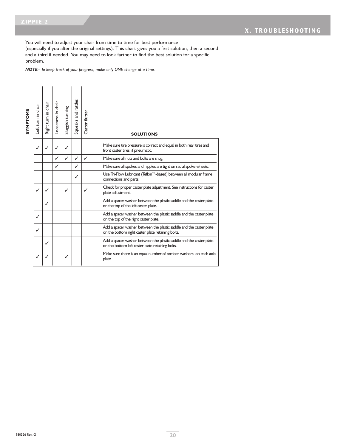You will need to adjust your chair from time to time for best performance

(especially if you alter the original settings). This chart gives you a first solution, then a second and a third if needed. You may need to look farther to find the best solution for a specific problem.

*NOTE– To keep track of your progress, make only ONE change at a time.*

| SYMPTOMS | Left turn in chair | Right turn in chair | Looseness in chair | Sluggish turning | Squeaks and rattles | Caster flutter | <b>SOLUTIONS</b>                                                                                                         |
|----------|--------------------|---------------------|--------------------|------------------|---------------------|----------------|--------------------------------------------------------------------------------------------------------------------------|
|          | ✓                  | ✓                   | ℐ                  |                  |                     |                | Make sure tire pressure is correct and equal in both rear tires and<br>front caster tires, if pneumatic.                 |
|          |                    |                     | ✓                  | ✓                | ✓                   | ✓              | Make sure all nuts and bolts are snug.                                                                                   |
|          |                    |                     | ✓                  |                  | ℐ                   |                | Make sure all spokes and nipples are tight on radial spoke wheels.                                                       |
|          |                    |                     |                    |                  | ✓                   |                | Use Tri-Flow Lubricant (Teflon™-based) between all modular frame<br>connections and parts.                               |
|          | $\checkmark$       |                     |                    | ✓                |                     | J              | Check for proper caster plate adjustment. See instructions for caster<br>plate adjustment.                               |
|          |                    | ℐ                   |                    |                  |                     |                | Add a spacer washer between the plastic saddle and the caster plate<br>on the top of the left caster plate.              |
|          | ✓                  |                     |                    |                  |                     |                | Add a spacer washer between the plastic saddle and the caster plate<br>on the top of the right caster plate.             |
|          | ✓                  |                     |                    |                  |                     |                | Add a spacer washer between the plastic saddle and the caster plate<br>on the bottom right caster plate retaining bolts. |
|          |                    | ✓                   |                    |                  |                     |                | Add a spacer washer between the plastic saddle and the caster plate<br>on the bottom left caster plate retaining bolts.  |
|          | ✓                  | ✓                   |                    |                  |                     |                | Make sure there is an equal number of camber washers on each axle<br>plate                                               |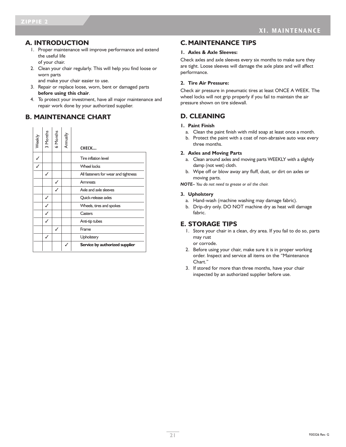#### **A. INTRODUCTION**

- 1. Proper maintenance will improve performance and extend the useful life of your chair.
- 2. Clean your chair regularly. This will help you find loose or worn parts

and make your chair easier to use.

- 3. Repair or replace loose, worn, bent or damaged parts **before using this chair**.
- 4. To protect your investment, have all major maintenance and repair work done by your authorized supplier.

### **B. MAINTENANCE CHART**

| Weekly         | 3 Months | 6 Months | Annually | CHECK                                |
|----------------|----------|----------|----------|--------------------------------------|
| ✓              |          |          |          | Tire inflation level                 |
| $\overline{1}$ |          |          |          | <b>Wheel locks</b>                   |
|                | ✓        |          |          | All fasteners for wear and tightness |
|                |          |          |          | <b>Armrests</b>                      |
|                |          |          |          | Axle and axle sleeves                |
|                | ✓        |          |          | Quick-release axles                  |
|                |          |          |          | Wheels, tires and spokes             |
|                |          |          |          | Casters                              |
|                |          |          |          | Anti-tip tubes                       |
|                |          |          |          | Frame                                |
|                | ✓        |          |          | Upholstery                           |
|                |          |          |          | Service by authorized supplier       |

#### **C. MAINTENANCE TIPS**

#### **1. Axles & Axle Sleeves:**

Check axles and axle sleeves every six months to make sure they are tight. Loose sleeves will damage the axle plate and will affect performance.

#### **2. Tire Air Pressure:**

Check air pressure in pneumatic tires at least ONCE A WEEK. The wheel locks will not grip properly if you fail to maintain the air pressure shown on tire sidewall.

### **D. CLEANING**

#### **1. Paint Finish**

- a. Clean the paint finish with mild soap at least once a month.
- b. Protect the paint with a coat of non-abrasive auto wax every three months.

#### **2. Axles and Moving Parts**

- a. Clean around axles and moving parts WEEKLY with a slightly damp (not wet) cloth.
- b. Wipe off or blow away any fluff, dust, or dirt on axles or moving parts.

*NOTE– You do not need to grease or oil the chair.*

#### **3. Upholstery**

- a. Hand-wash (machine washing may damage fabric).
- b. Drip-dry only. DO NOT machine dry as heat will damage fabric.

#### **E. STORAGE TIPS**

1. Store your chair in a clean, dry area. If you fail to do so, parts may rust or corrode.

2. Before using your chair, make sure it is in proper working order. Inspect and service all items on the "Maintenance

Chart." 3. If stored for more than three months, have your chair inspected by an authorized supplier before use.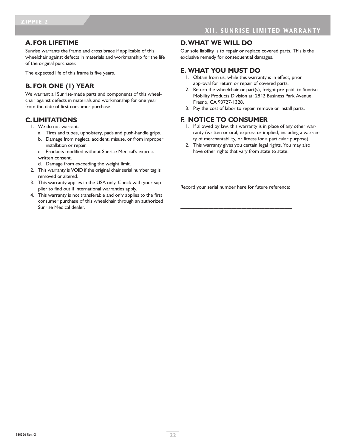#### **A.FOR LIFETIME**

Sunrise warrants the frame and cross brace if applicable of this wheelchair against defects in materials and workmanship for the life of the original purchaser.

The expected life of this frame is five years.

### **B. FOR ONE (1) YEAR**

We warrant all Sunrise-made parts and components of this wheelchair against defects in materials and workmanship for one year from the date of first consumer purchase.

#### **C. LIMITATIONS**

- 1. We do not warrant:
	- a. Tires and tubes, upholstery, pads and push-handle grips.
	- b. Damage from neglect, accident, misuse, or from improper installation or repair.
	- c. Products modified without Sunrise Medical's express written consent.
	- d. Damage from exceeding the weight limit.
- 2. This warranty is VOID if the original chair serial number tag is removed or altered.
- 3. This warranty applies in the USA only. Check with your supplier to find out if international warranties apply.
- 4. This warranty is not transferable and only applies to the first consumer purchase of this wheelchair through an authorized Sunrise Medical dealer.

#### **D.WHAT WE WILL DO**

Our sole liability is to repair or replace covered parts. This is the exclusive remedy for consequential damages.

#### **E. WHAT YOU MUST DO**

- 1. Obtain from us, while this warranty is in effect, prior approval for return or repair of covered parts.
- 2. Return the wheelchair or part(s), freight pre-paid, to Sunrise Mobility Products Division at: 2842 Business Park Avenue, Fresno, CA 93727-1328.
- 3. Pay the cost of labor to repair, remove or install parts.

### **F. NOTICE TO CONSUMER**

- 1. If allowed by law, this warranty is in place of any other warranty (written or oral, express or implied, including a warranty of merchantability, or fitness for a particular purpose).
- 2. This warranty gives you certain legal rights. You may also have other rights that vary from state to state.

Record your serial number here for future reference:

\_\_\_\_\_\_\_\_\_\_\_\_\_\_\_\_\_\_\_\_\_\_\_\_\_\_\_\_\_\_\_\_\_\_\_\_\_\_\_\_\_\_\_\_